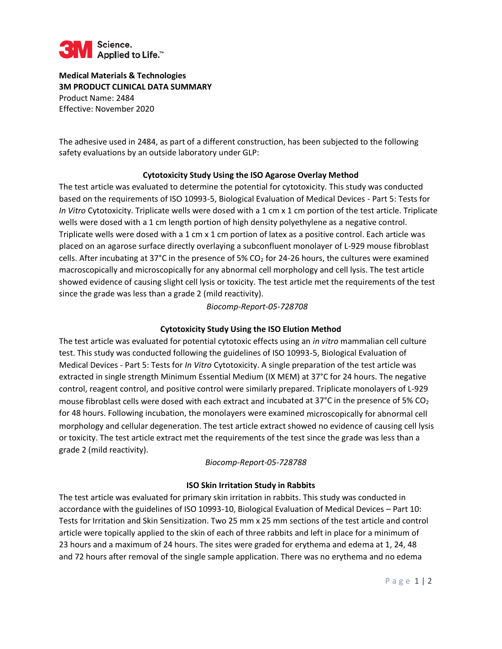

**Medical Materials & Technologies 3M PRODUCT CLINICAL DATA SUMMARY**  Product Name: 2484 Effective: November 2020

The adhesive used in 2484, as part of a different construction, has been subjected to the following safety evaluations by an outside laboratory under GLP:

### **Cytotoxicity Study Using the ISO Agarose Overlay Method**

The test article was evaluated to determine the potential for cytotoxicity. This study was conducted based on the requirements of ISO 10993-5, Biological Evaluation of Medical Devices - Part 5: Tests for *In Vitro* Cytotoxicity. Triplicate wells were dosed with a 1 cm x 1 cm portion of the test article. Triplicate wells were dosed with a 1 cm length portion of high density polyethylene as a negative control. Triplicate wells were dosed with a 1 cm x 1 cm portion of latex as a positive control. Each article was placed on an agarose surface directly overlaying a subconfluent monolayer of L-929 mouse fibroblast cells. After incubating at 37°C in the presence of 5% CO<sub>2</sub> for 24-26 hours, the cultures were examined macroscopically and microscopically for any abnormal cell morphology and cell lysis. The test article showed evidence of causing slight cell lysis or toxicity. The test article met the requirements of the test since the grade was less than a grade 2 (mild reactivity).

## *Biocomp-Report-05-728708*

## **Cytotoxicity Study Using the ISO Elution Method**

The test article was evaluated for potential cytotoxic effects using an *in vitro* mammalian cell culture test. This study was conducted following the guidelines of ISO 10993-5, Biological Evaluation of Medical Devices - Part 5: Tests for *In Vitro* Cytotoxicity. A single preparation of the test article was extracted in single strength Minimum Essential Medium (IX MEM) at 37°C for 24 hours. The negative control, reagent control, and positive control were similarly prepared. Triplicate monolayers of L-929 mouse fibroblast cells were dosed with each extract and incubated at 37°C in the presence of 5% CO<sub>2</sub> for 48 hours. Following incubation, the monolayers were examined microscopically for abnormal cell morphology and cellular degeneration. The test article extract showed no evidence of causing cell lysis or toxicity. The test article extract met the requirements of the test since the grade was less than a grade 2 (mild reactivity).

#### *Biocomp-Report-05-728788*

#### **ISO Skin Irritation Study in Rabbits**

The test article was evaluated for primary skin irritation in rabbits. This study was conducted in accordance with the guidelines of ISO 10993-10, Biological Evaluation of Medical Devices – Part 10: Tests for Irritation and Skin Sensitization. Two 25 mm x 25 mm sections of the test article and control article were topically applied to the skin of each of three rabbits and left in place for a minimum of 23 hours and a maximum of 24 hours. The sites were graded for erythema and edema at 1, 24, 48 and 72 hours after removal of the single sample application. There was no erythema and no edema